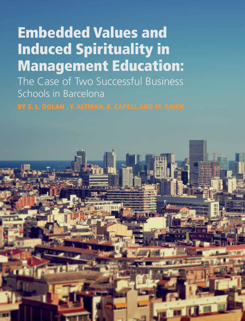# Embedded Values and Induced Spirituality in Management Education: The Case of Two Successful Business

Schools in Barcelona

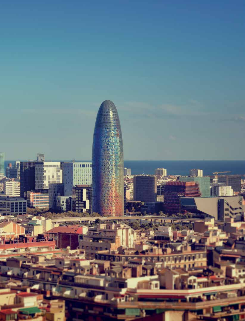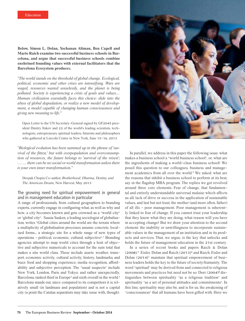**Below, Simon L. Dolan, Yochanan Altman, Ben Capell and Mario Raich examine two successful business schools in Barcelona, and argue that successful business schools combine enshrined founding values with external facilitators that the Barcelona Ecosystem produces.** 

*"The world stands on the threshold of global change. Ecological, political, economic and other crises are intensifying. Wars are waged, resources wasted senselessly, and the planet is being polluted. Society is experiencing a crisis of goals and values… Human civilization essentially faces this choice: slide into the abyss of global degradation, or realize a new model of development, a model capable of changing human consciousness and giving new meaning to life."* 

Open Letter to the UN Secretary-General signed by GF2045 president Dmitry Itskov and 22 of the world's leading scientists, technologists, entrepreneurs, spiritual leaders, futurists and philosophers who gathered at Lincoln Center in New York, June 15-16, 2013

*"Biological evolution has been summed up in the phrase of 'survival of the fittest,' but with overpopulation and overconsumption of resources, the future belongs to 'survival of the wisest'; ……. there can be no social or world transformation unless there is your own inner transformation."* 

Deepak Chopra Co-author, *Brotherhood: Dharma, Destiny, and The American Dream,* New Harvest, May 2013

# The growing need for spiritual empowerment in general and in management education in particular

A range of professionals, from cultural geographers to branding experts, currently engage in configuring what, as well as why and how, a city becomes known and gets crowned as a "world city" or "global city". Sassia Sasken, a leading sociologist of globalisation, writes "Global cities around the world are the terrain where a multiplicity of globalisation processes assume concrete, localised forms… a strategic site for a whole range of new types of operations - political, economic, cultural, subjective".1 Branding agencies attempt to map world cities through a host of objective and subjective numericals to account for the sum total that makes a situ world class. These include assets: weather, transport, economic activity, cultural activity, history, landmarks; and buzz: food and shopping experience, media recognition, affordability and subjective perception. The "usual suspects" include New York, London, Paris and Tokyo, and rather unexpectedly, Barcelona, ranked third in Europe<sup>2</sup> and sixth overall in the world.<sup>3</sup> Barcelona stands out, since compared to its competitors it is relatively small (in landmass and population) and is not a capital city (a point the Catalan separatists may take issue with, though).



In parallel, we address in this paper the following issue: what makes a business school a "world business school", or, what are the ingredients of making a world-class business school? We posed this question to our colleagues, business and management academics from all over the world.4 We asked: what are the reasons that inhibit a business school to perform at its best, say in the flagship MBA program. The replies we got revolved around three core elements: Fear of change, that fundamental and entirely understandable universal malaise which affects us all; lack of drive or success in the application of sustainable values, and last but not least, the mother (and more often, father) of all ills - poor management. Poor management is inherently linked to fear of change. If you cannot trust your leadership that they know what they are doing, what reason will you have in accepting change? But we draw your attention to the second element: the inability or unwillingness to incorporate sustainable values in the management of an institution and in its products and services. That, we argue, is the key that unlocks and holds the future of management education in the 21st century.

In a series of recent books and papers Raich & Dolan (2008),<sup>5</sup> Eisler, Dolan and Raich (2013)<sup>6</sup> and Raich, Eisler and Dolan (2014)<sup>7</sup> maintain that spiritual empowerment of business leaders holds the key to the future of society/humanity. The word "spiritual" may be derived from and connected to religious movements and practices but need not be so. Dorr (2004)<sup>8</sup> distinguishes between spirituality "as a religious tradition" and spirituality "as a set of personal attitudes and commitments". In this line, spirituality may also be, and is for us, the awakening of "consciousness" that all humans have been gifted with. Here we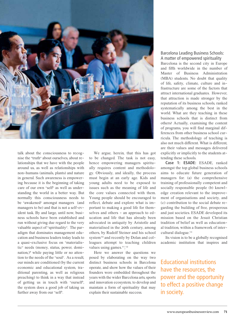

talk about the consciousness to recognise the "truth" about ourselves, about relationships that we have with the people around us, as well as relationships with non-humans (animals, plants) and nature in general. Such awareness is empowering because it is the beginning of taking care of our own "self" as well as understanding the world in a better way. But normally this consciousness needs to be "awakened" amongst managers (and managers to be) and that is not a self-evident task. By and large, until now, business schools have been established and run without giving due regard to the very valuable aspect of "spirituality". The paradigm that dominates management education and business leaders today leads to a quasi-exclusive focus on "materialistic" needs (money, status, power, domination,)<sup>9</sup> while paying little or no attention to the needs of the "soul". As a result, our minds are conditioned (by the current economic and educational system, traditional parenting, as well as religious preaching) to think in a way that instead of getting us in touch with "ourself", the system does a good job of taking us further away from our "self".

We argue, herein, that this has got to be changed. The task is not easy, hence empowering managers spiritually requires content and methodology. Obviously, and ideally, the process must begin at an early age. Kids and young adults need to be exposed to issues such as the meaning of life and the core values connected with them. Young people should be encouraged to reflect, debate and explore what is important to making a good life for themselves and others - an approach to education and life that has already been advocated in antiquity by Aristotle and materialised in the 20th century, among others, by Rudolf Steiner and his school system<sup>10</sup> and recently by Dolan and colleagues attempt to teaching children values using games.<sup>11,12</sup>

Here we answer the questions we posed by elaborating on the way two distinct business schools in Barcelona operate, and show how the values of their founders were embedded throughout the years with the wider Barcelona arts, sports and innovation ecosystem, to develop and maintain a form of spirituality that may explain their sustainable success.

# Barcelona Leading Business Schools: A matter of empowered spirituality

Barcelona is the second city in Europe and fifth worldwide in the number of Master of Business Administration (MBA) students. No doubt that quality of life, safety, climate, culture and infrastructure are some of the factors that attract international graduates. However, that attraction is made stronger by the reputation of its business schools, ranked systematically among the best in the world. What are they teaching in these business schools that is distinct from others? Actually, examining the content of programs, you will find marginal differences from other business school curricula. The methodology of teaching is also not much different. What is different, are their values and messages delivered explicitly or implicitly to the students attending these schools.

**Case 1: ESADE:** ESADE, ranked amongst the top global business schools aims to educate future generation of managers for: (a) the comprehensive training of professionally competent and socially responsible people (b) knowledge creation relevant to the improvement of organisations and society, and (c) contribution to the social debate regarding the building of free, prosperous and just societies. ESADE developed its mission based on the Jesuit Christian tradition of belief as well as educational tradition, within a framework of intercultural dialogue.<sup>13</sup>

Its vision is to be a globally recognised academic institution that inspires and

Educational institutions have the resources, the power and the opportunity to effect a positive change in society.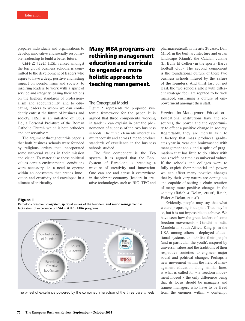prepares individuals and organisations to develop innovative and socially responsible leadership to build a better future.

**Case 2: IESE:** IESE, ranked amongst the top global business schools, is committed to the development of leaders who aspire to have a deep, positive and lasting impact on people, firms and society; to inspiring leaders to work with a spirit of service and integrity, basing their actions on the highest standards of professionalism and accountability; and to educating leaders to whom we can confidently entrust the future of business and society. IESE is an initiative of Opus Dei, a Personal Prelature of the Roman Catholic Church, which is both orthodox and conservative.14

The argument throughout this paper is that both business schools were founded by religious orders that incorporated some universal values in their mission and vision. To materialise these spiritual values certain environmental conditions were necessary, i.e. a need to operate within an ecosystem that breeds innovation and creativity and enveloped in a climate of spirituality.

# Many MBA programs are rethinking management education and curricula to engender a more holistic approach to teaching management.

# The Conceptual Model

Figure 1 represents the proposed systemic framework for the paper. It is argued that three components, working in tandem, can explain in part the phenomenon of success of the two business schools. The three elements interact simultaneously and across time to produce standards of excellence in the business schools studied.

The first component is the **Eco system.** It is argued that the Eco-System of Barcelona is breeding a mixture of creativity and innovation. One can see and sense it everywhere: in the vibrant economy (leaders in creative technologies such as BIO-TEC and

pharmaceutical), in the arts (Picasso, Dali, Miro), in the built architecture and urban landscape (Gaudi), the Catalan cuisine (El Bulli, El Cellier) in the sports (Barca football club). The second component is the foundational culture of these two business schools infused by the **values of the founders**. And third: last but not least, the two schools, albeit with different strategic foci, are reputed to be well managed, enshrining a culture of empowerment amongst their staff.

#### Freedom for Management Education

Educational institutions have the resources, the power and the opportunity to effect a positive change in society. Regrettably, they are merely akin to a factory that mass produces graduates year in, year out, brainwashed with management tools and a spirit of pragmatism that has little to do, either with one's "self", or timeless universal values. If the schools and colleges were to fully exploit their potential and power, we can affect many positive changes that by their very nature are contagious and capable of setting a chain reaction of many more positive changes in the society (Raich & Dolan, 2008<sup>5</sup>; Raich, Eisler & Dolan, 20147).

Evidently, people may say that what we are proposing is utopian. That may be so, but it is not impossible to achieve. We have seen how the great leaders of some freedom movements - Gandhi in India, Mandela in south Africa, King jr. in the USA, among others - deployed educational systems to mobilise their people (and in particular, the youth), inspired by universal values and the traditions of their respective societies, to engineer major social and political changes. Perhaps a new movement within the field of management education along similar lines, is what is called for - a freedom movement indeed - the only difference being that its focus should be managers and trainee managers who have to be freed from the enemies within - contempt,

#### **Figure 1**

Barcelona creative Eco-system, spiritual values of the founders, and sound management as facilitators of excellence of ESADE & IESE MBA programs



The wheel of excellence powered by the combined interaction of the three base wheels